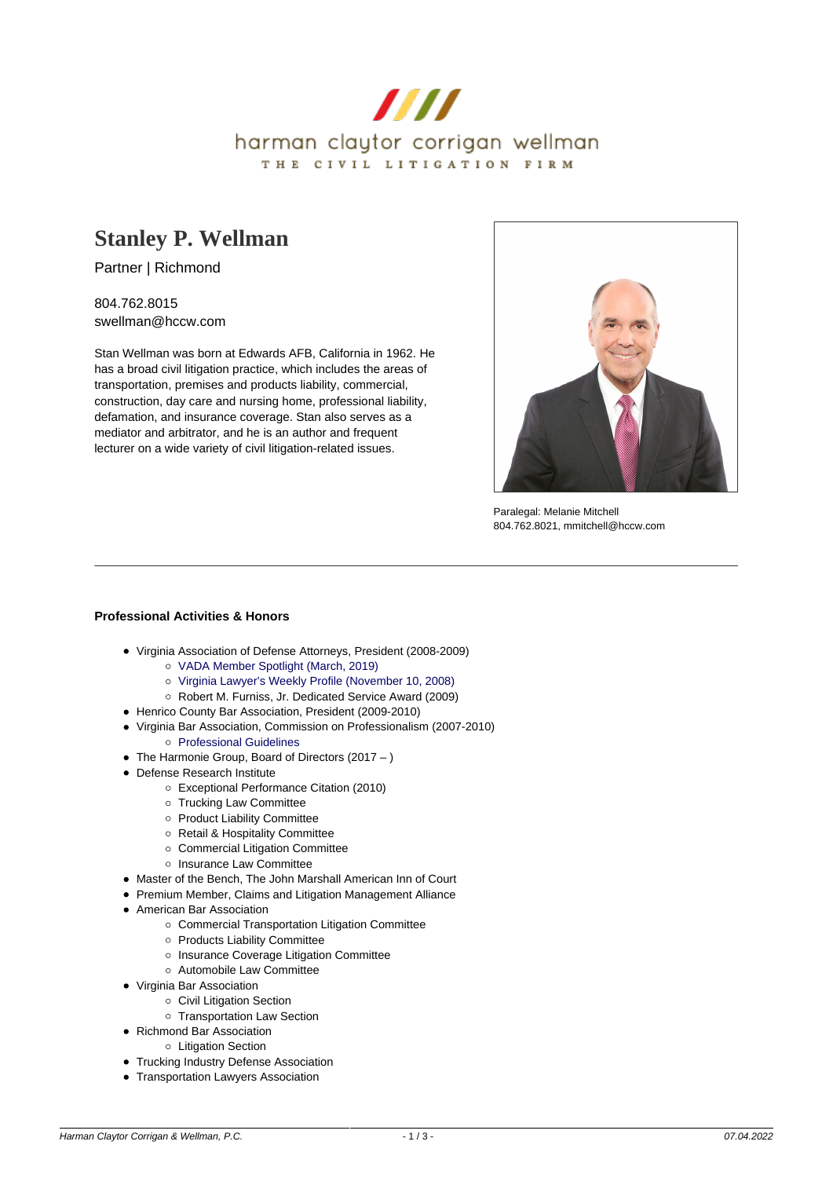

# **[Stanley P. Wellman](https://www.hccw.com/attorney/stanley-p-wellman/)**

Partner | Richmond

804.762.8015 swellman@hccw.com

Stan Wellman was born at Edwards AFB, California in 1962. He has a broad civil litigation practice, which includes the areas of transportation, premises and products liability, commercial, construction, day care and nursing home, professional liability, defamation, and insurance coverage. Stan also serves as a mediator and arbitrator, and he is an author and frequent lecturer on a wide variety of civil litigation-related issues.



Paralegal: Melanie Mitchell 804.762.8021, mmitchell@hccw.com

## **Professional Activities & Honors**

- Virginia Association of Defense Attorneys, President (2008-2009)
	- [VADA Member Spotlight \(March, 2019\)](https://vada.org/Member-Spotlight-Wellman)
	- [Virginia Lawyer's Weekly Profile \(November 10, 2008\)](https://www.hccw.com/wp-content/uploads/2013/11/VLW-Article-SPW-President-VADA.pdf)
	- Robert M. Furniss, Jr. Dedicated Service Award (2009)
- Henrico County Bar Association, President (2009-2010)
- Virginia Bar Association, Commission on Professionalism (2007-2010)
- o [Professional Guidelines](http://www.vsb.org/pro-guidelines/index.php/principles/)
- The Harmonie Group, Board of Directors (2017 )
- Defense Research Institute
	- Exceptional Performance Citation (2010)
	- Trucking Law Committee
	- o Product Liability Committee
	- o Retail & Hospitality Committee
	- Commercial Litigation Committee
	- o Insurance Law Committee
- Master of the Bench, The John Marshall American Inn of Court
- Premium Member, Claims and Litigation Management Alliance
- American Bar Association
	- Commercial Transportation Litigation Committee
	- o Products Liability Committee
	- o Insurance Coverage Litigation Committee
	- Automobile Law Committee
- Virginia Bar Association
	- o Civil Litigation Section
	- o Transportation Law Section
- Richmond Bar Association
	- Litigation Section
- **Trucking Industry Defense Association**
- Transportation Lawyers Association